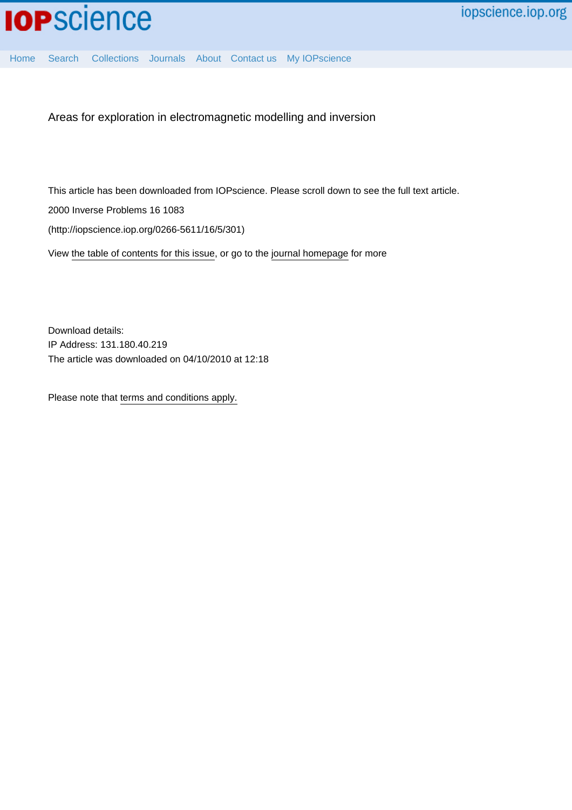

[Home](http://iopscience.iop.org/) [Search](http://iopscience.iop.org/search) [Collections](http://iopscience.iop.org/collections) [Journals](http://iopscience.iop.org/journals) [About](http://iopscience.iop.org/page/aboutioppublishing) [Contact us](http://iopscience.iop.org/contact) [My IOPscience](http://iopscience.iop.org/myiopscience)

Areas for exploration in electromagnetic modelling and inversion

This article has been downloaded from IOPscience. Please scroll down to see the full text article.

2000 Inverse Problems 16 1083

(http://iopscience.iop.org/0266-5611/16/5/301)

View [the table of contents for this issue](http://iopscience.iop.org/0266-5611/16/5), or go to the [journal homepage](http://iopscience.iop.org/0266-5611) for more

Download details: IP Address: 131.180.40.219 The article was downloaded on 04/10/2010 at 12:18

Please note that [terms and conditions apply.](http://iopscience.iop.org/page/terms)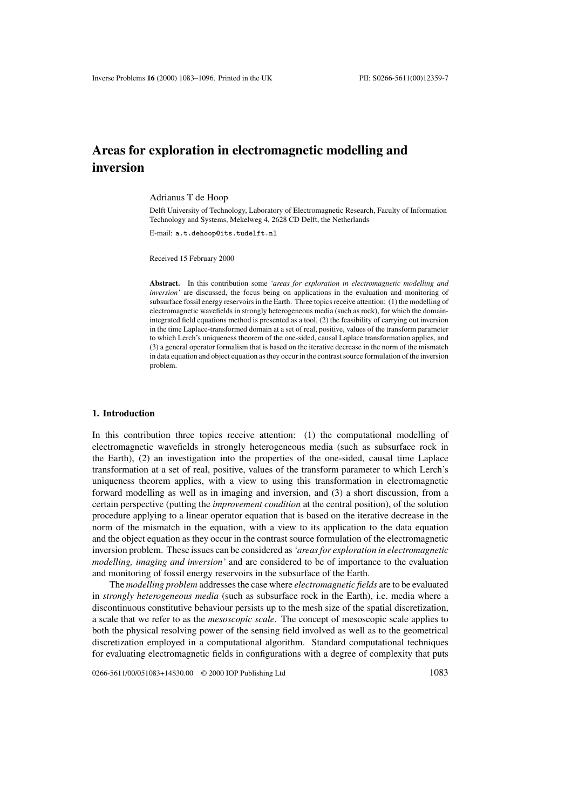# **Areas for exploration in electromagnetic modelling and inversion**

#### Adrianus T de Hoop

Delft University of Technology, Laboratory of Electromagnetic Research, Faculty of Information Technology and Systems, Mekelweg 4, 2628 CD Delft, the Netherlands

E-mail: a.t.dehoop@its.tudelft.nl

Received 15 February 2000

**Abstract.** In this contribution some *'areas for exploration in electromagnetic modelling and inversion'* are discussed, the focus being on applications in the evaluation and monitoring of subsurface fossil energy reservoirs in the Earth. Three topics receive attention: (1) the modelling of electromagnetic wavefields in strongly heterogeneous media (such as rock), for which the domainintegrated field equations method is presented as a tool, (2) the feasibility of carrying out inversion in the time Laplace-transformed domain at a set of real, positive, values of the transform parameter to which Lerch's uniqueness theorem of the one-sided, causal Laplace transformation applies, and (3) a general operator formalism that is based on the iterative decrease in the norm of the mismatch in data equation and object equation as they occur in the contrast source formulation of the inversion problem.

### **1. Introduction**

In this contribution three topics receive attention: (1) the computational modelling of electromagnetic wavefields in strongly heterogeneous media (such as subsurface rock in the Earth), (2) an investigation into the properties of the one-sided, causal time Laplace transformation at a set of real, positive, values of the transform parameter to which Lerch's uniqueness theorem applies, with a view to using this transformation in electromagnetic forward modelling as well as in imaging and inversion, and (3) a short discussion, from a certain perspective (putting the *improvement condition* at the central position), of the solution procedure applying to a linear operator equation that is based on the iterative decrease in the norm of the mismatch in the equation, with a view to its application to the data equation and the object equation as they occur in the contrast source formulation of the electromagnetic inversion problem. These issues can be considered as*'areas for exploration in electromagnetic modelling, imaging and inversion'* and are considered to be of importance to the evaluation and monitoring of fossil energy reservoirs in the subsurface of the Earth.

The *modelling problem* addresses the case where *electromagnetic fields* are to be evaluated in *strongly heterogeneous media* (such as subsurface rock in the Earth), i.e. media where a discontinuous constitutive behaviour persists up to the mesh size of the spatial discretization, a scale that we refer to as the *mesoscopic scale*. The concept of mesoscopic scale applies to both the physical resolving power of the sensing field involved as well as to the geometrical discretization employed in a computational algorithm. Standard computational techniques for evaluating electromagnetic fields in configurations with a degree of complexity that puts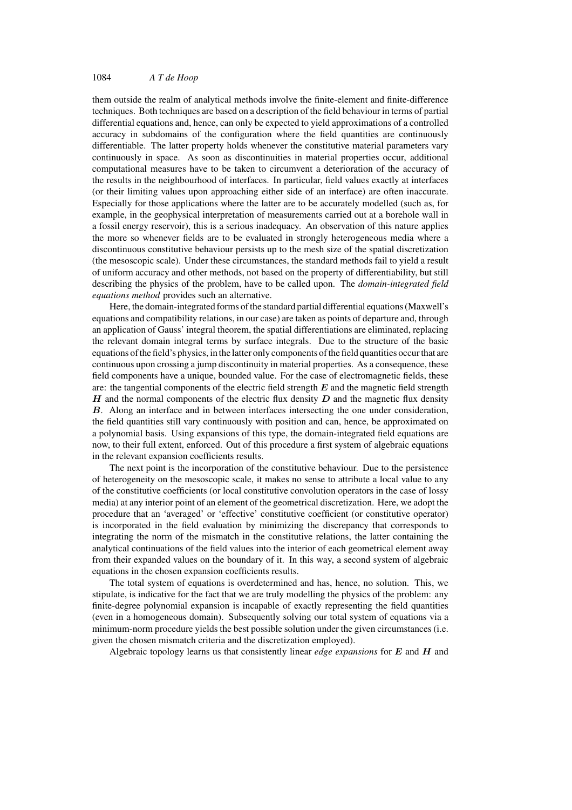them outside the realm of analytical methods involve the finite-element and finite-difference techniques. Both techniques are based on a description of the field behaviour in terms of partial differential equations and, hence, can only be expected to yield approximations of a controlled accuracy in subdomains of the configuration where the field quantities are continuously differentiable. The latter property holds whenever the constitutive material parameters vary continuously in space. As soon as discontinuities in material properties occur, additional computational measures have to be taken to circumvent a deterioration of the accuracy of the results in the neighbourhood of interfaces. In particular, field values exactly at interfaces (or their limiting values upon approaching either side of an interface) are often inaccurate. Especially for those applications where the latter are to be accurately modelled (such as, for example, in the geophysical interpretation of measurements carried out at a borehole wall in a fossil energy reservoir), this is a serious inadequacy. An observation of this nature applies the more so whenever fields are to be evaluated in strongly heterogeneous media where a discontinuous constitutive behaviour persists up to the mesh size of the spatial discretization (the mesoscopic scale). Under these circumstances, the standard methods fail to yield a result of uniform accuracy and other methods, not based on the property of differentiability, but still describing the physics of the problem, have to be called upon. The *domain-integrated field equations method* provides such an alternative.

Here, the domain-integrated forms of the standard partial differential equations (Maxwell's equations and compatibility relations, in our case) are taken as points of departure and, through an application of Gauss' integral theorem, the spatial differentiations are eliminated, replacing the relevant domain integral terms by surface integrals. Due to the structure of the basic equations of the field's physics, in the latter only components of the field quantities occur that are continuous upon crossing a jump discontinuity in material properties. As a consequence, these field components have a unique, bounded value. For the case of electromagnetic fields, these are: the tangential components of the electric field strength *E* and the magnetic field strength *H* and the normal components of the electric flux density *D* and the magnetic flux density *B*. Along an interface and in between interfaces intersecting the one under consideration, the field quantities still vary continuously with position and can, hence, be approximated on a polynomial basis. Using expansions of this type, the domain-integrated field equations are now, to their full extent, enforced. Out of this procedure a first system of algebraic equations in the relevant expansion coefficients results.

The next point is the incorporation of the constitutive behaviour. Due to the persistence of heterogeneity on the mesoscopic scale, it makes no sense to attribute a local value to any of the constitutive coefficients (or local constitutive convolution operators in the case of lossy media) at any interior point of an element of the geometrical discretization. Here, we adopt the procedure that an 'averaged' or 'effective' constitutive coefficient (or constitutive operator) is incorporated in the field evaluation by minimizing the discrepancy that corresponds to integrating the norm of the mismatch in the constitutive relations, the latter containing the analytical continuations of the field values into the interior of each geometrical element away from their expanded values on the boundary of it. In this way, a second system of algebraic equations in the chosen expansion coefficients results.

The total system of equations is overdetermined and has, hence, no solution. This, we stipulate, is indicative for the fact that we are truly modelling the physics of the problem: any finite-degree polynomial expansion is incapable of exactly representing the field quantities (even in a homogeneous domain). Subsequently solving our total system of equations via a minimum-norm procedure yields the best possible solution under the given circumstances (i.e. given the chosen mismatch criteria and the discretization employed).

Algebraic topology learns us that consistently linear *edge expansions* for *E* and *H* and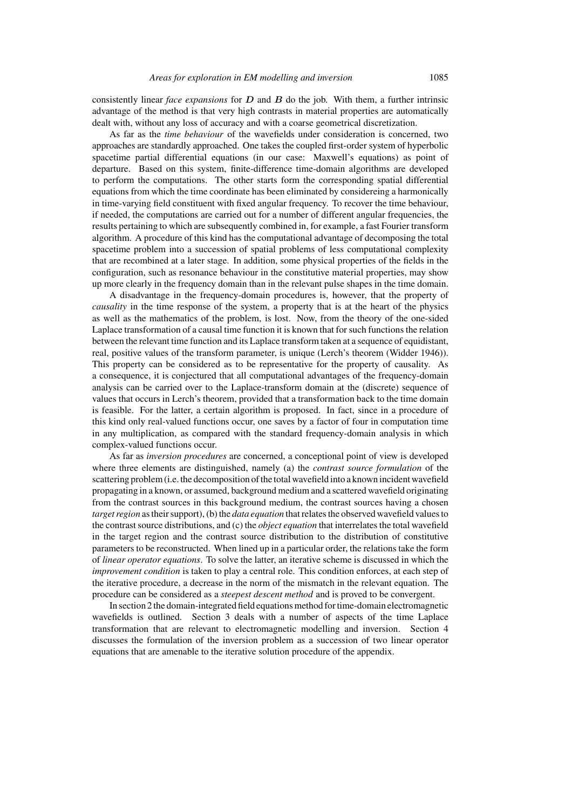consistently linear *face expansions* for *D* and *B* do the job. With them, a further intrinsic advantage of the method is that very high contrasts in material properties are automatically dealt with, without any loss of accuracy and with a coarse geometrical discretization.

As far as the *time behaviour* of the wavefields under consideration is concerned, two approaches are standardly approached. One takes the coupled first-order system of hyperbolic spacetime partial differential equations (in our case: Maxwell's equations) as point of departure. Based on this system, finite-difference time-domain algorithms are developed to perform the computations. The other starts form the corresponding spatial differential equations from which the time coordinate has been eliminated by considereing a harmonically in time-varying field constituent with fixed angular frequency. To recover the time behaviour, if needed, the computations are carried out for a number of different angular frequencies, the results pertaining to which are subsequently combined in, for example, a fast Fourier transform algorithm. A procedure of this kind has the computational advantage of decomposing the total spacetime problem into a succession of spatial problems of less computational complexity that are recombined at a later stage. In addition, some physical properties of the fields in the configuration, such as resonance behaviour in the constitutive material properties, may show up more clearly in the frequency domain than in the relevant pulse shapes in the time domain.

A disadvantage in the frequency-domain procedures is, however, that the property of *causality* in the time response of the system, a property that is at the heart of the physics as well as the mathematics of the problem, is lost. Now, from the theory of the one-sided Laplace transformation of a causal time function it is known that for such functions the relation between the relevant time function and its Laplace transform taken at a sequence of equidistant, real, positive values of the transform parameter, is unique (Lerch's theorem (Widder 1946)). This property can be considered as to be representative for the property of causality. As a consequence, it is conjectured that all computational advantages of the frequency-domain analysis can be carried over to the Laplace-transform domain at the (discrete) sequence of values that occurs in Lerch's theorem, provided that a transformation back to the time domain is feasible. For the latter, a certain algorithm is proposed. In fact, since in a procedure of this kind only real-valued functions occur, one saves by a factor of four in computation time in any multiplication, as compared with the standard frequency-domain analysis in which complex-valued functions occur.

As far as *inversion procedures* are concerned, a conceptional point of view is developed where three elements are distinguished, namely (a) the *contrast source formulation* of the scattering problem (i.e. the decomposition of the total wavefield into a known incident wavefield propagating in a known, or assumed, background medium and a scattered wavefield originating from the contrast sources in this background medium, the contrast sources having a chosen *target region* as their support), (b) the *data equation* that relates the observed wavefield values to the contrast source distributions, and (c) the *object equation* that interrelates the total wavefield in the target region and the contrast source distribution to the distribution of constitutive parameters to be reconstructed. When lined up in a particular order, the relations take the form of *linear operator equations*. To solve the latter, an iterative scheme is discussed in which the *improvement condition* is taken to play a central role. This condition enforces, at each step of the iterative procedure, a decrease in the norm of the mismatch in the relevant equation. The procedure can be considered as a *steepest descent method* and is proved to be convergent.

In section 2 the domain-integrated field equations method for time-domain electromagnetic wavefields is outlined. Section 3 deals with a number of aspects of the time Laplace transformation that are relevant to electromagnetic modelling and inversion. Section 4 discusses the formulation of the inversion problem as a succession of two linear operator equations that are amenable to the iterative solution procedure of the appendix.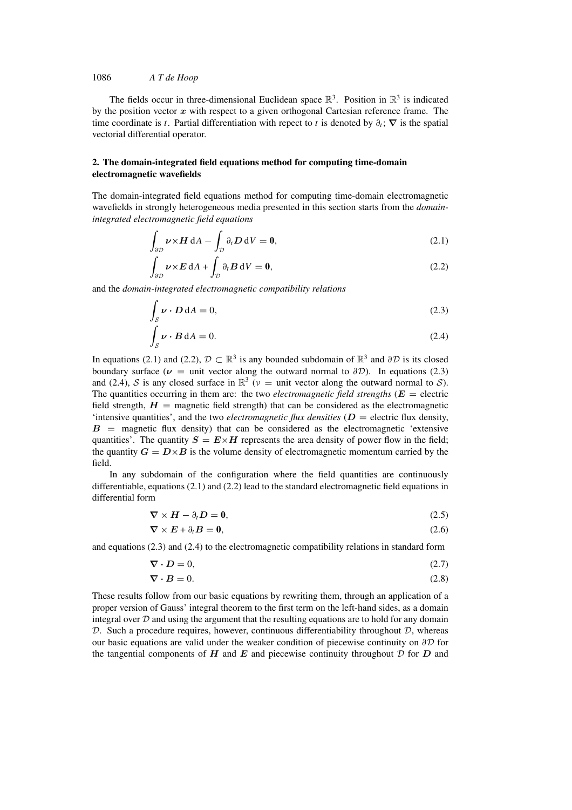The fields occur in three-dimensional Euclidean space  $\mathbb{R}^3$ . Position in  $\mathbb{R}^3$  is indicated by the position vector  $x$  with respect to a given orthogonal Cartesian reference frame. The time coordinate is t. Partial differentiation with repect to t is denoted by  $\partial_t$ ;  $\nabla$  is the spatial vectorial differential operator.

# **2. The domain-integrated field equations method for computing time-domain electromagnetic wavefields**

The domain-integrated field equations method for computing time-domain electromagnetic wavefields in strongly heterogeneous media presented in this section starts from the *domainintegrated electromagnetic field equations*

$$
\int_{\partial \mathcal{D}} \nu \times H \, \mathrm{d}A - \int_{\mathcal{D}} \partial_t D \, \mathrm{d}V = \mathbf{0},\tag{2.1}
$$

$$
\int_{\partial \mathcal{D}} \nu \times E \, \mathrm{d}A + \int_{\mathcal{D}} \partial_t B \, \mathrm{d}V = 0,\tag{2.2}
$$

and the *domain-integrated electromagnetic compatibility relations*

$$
\int_{S} \nu \cdot D \, dA = 0,\tag{2.3}
$$

$$
\int_{S} \nu \cdot B \, \mathrm{d}A = 0. \tag{2.4}
$$

In equations (2.1) and (2.2),  $\mathcal{D} \subset \mathbb{R}^3$  is any bounded subdomain of  $\mathbb{R}^3$  and  $\partial \mathcal{D}$  is its closed boundary surface ( $\nu$  = unit vector along the outward normal to  $\partial D$ ). In equations (2.3) and (2.4), S is any closed surface in  $\mathbb{R}^3$  ( $\nu = \text{unit vector along the outward normal to } S$ ). The quantities occurring in them are: the two *electromagnetic field strengths* ( $E =$  electric field strength,  $H =$  magnetic field strength) that can be considered as the electromagnetic 'intensive quantities', and the two *electromagnetic flux densities* ( $D =$  electric flux density,  $B =$  magnetic flux density) that can be considered as the electromagnetic 'extensive quantities'. The quantity  $S = E \times H$  represents the area density of power flow in the field; the quantity  $G = D \times B$  is the volume density of electromagnetic momentum carried by the field.

In any subdomain of the configuration where the field quantities are continuously differentiable, equations  $(2.1)$  and  $(2.2)$  lead to the standard electromagnetic field equations in differential form

$$
\nabla \times H - \partial_t D = 0, \tag{2.5}
$$

$$
\nabla \times E + \partial_t B = 0, \tag{2.6}
$$

and equations (2.3) and (2.4) to the electromagnetic compatibility relations in standard form

$$
\nabla \cdot D = 0,\tag{2.7}
$$

$$
\nabla \cdot B = 0. \tag{2.8}
$$

These results follow from our basic equations by rewriting them, through an application of a proper version of Gauss' integral theorem to the first term on the left-hand sides, as a domain integral over  $D$  and using the argument that the resulting equations are to hold for any domain  $D$ . Such a procedure requires, however, continuous differentiability throughout  $D$ , whereas our basic equations are valid under the weaker condition of piecewise continuity on ∂D for the tangential components of  $H$  and  $E$  and piecewise continuity throughout  $D$  for  $D$  and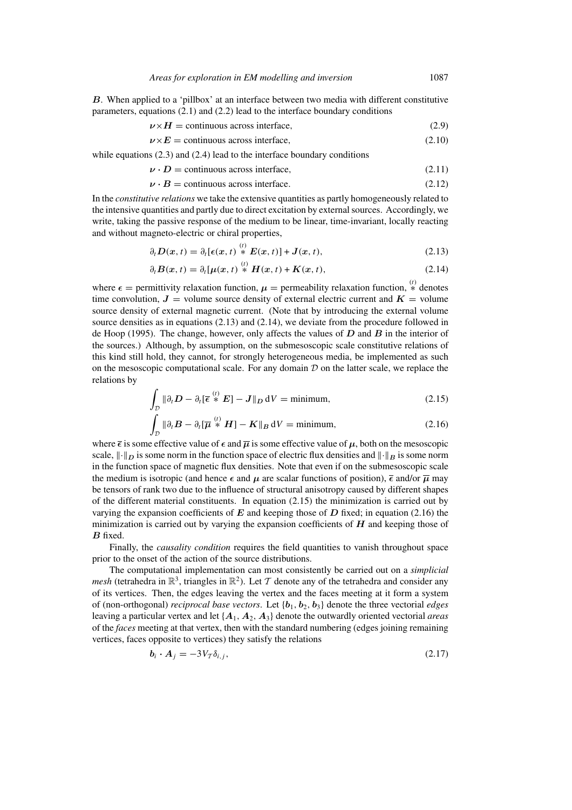*B*. When applied to a 'pillbox' at an interface between two media with different constitutive parameters, equations  $(2.1)$  and  $(2.2)$  lead to the interface boundary conditions

$$
\nu \times H = \text{continuous across interface},\tag{2.9}
$$

$$
\nu \times E = \text{continuous across interface},\tag{2.10}
$$

while equations (2.3) and (2.4) lead to the interface boundary conditions

$$
\nu \cdot D = \text{continuous across interface},\tag{2.11}
$$

$$
\nu \cdot B = \text{continuous across interface.} \tag{2.12}
$$

In the *constitutive relations* we take the extensive quantities as partly homogeneously related to the intensive quantities and partly due to direct excitation by external sources. Accordingly, we write, taking the passive response of the medium to be linear, time-invariant, locally reacting and without magneto-electric or chiral properties,

$$
\partial_t \mathbf{D}(\mathbf{x}, t) = \partial_t [\epsilon(\mathbf{x}, t) \stackrel{(t)}{*} \mathbf{E}(\mathbf{x}, t)] + \mathbf{J}(\mathbf{x}, t), \tag{2.13}
$$

$$
\partial_t B(x, t) = \partial_t [\mu(x, t) * H(x, t) + K(x, t), \qquad (2.14)
$$

where  $\epsilon$  = permittivity relaxation function,  $\mu$  = permeability relaxation function,  $*$  denotes time convolution,  $J =$  volume source density of external electric current and  $K =$  volume source density of external magnetic current. (Note that by introducing the external volume source densities as in equations (2.13) and (2.14), we deviate from the procedure followed in de Hoop (1995). The change, however, only affects the values of *D* and *B* in the interior of the sources.) Although, by assumption, on the submesoscopic scale constitutive relations of this kind still hold, they cannot, for strongly heterogeneous media, be implemented as such on the mesoscopic computational scale. For any domain  $D$  on the latter scale, we replace the relations by

$$
\int_{\mathcal{D}} \|\partial_t \mathbf{D} - \partial_t [\overline{\epsilon} \stackrel{(t)}{*} \mathbf{E}] - \mathbf{J} \|_{\mathbf{D}} \, \mathrm{d}V = \text{minimum},\tag{2.15}
$$

$$
\int_{\mathcal{D}} \|\partial_t \mathbf{B} - \partial_t [\overline{\boldsymbol{\mu}} \stackrel{(t)}* \mathbf{H}] - \mathbf{K} \|_{\mathbf{B}} \, \mathrm{d}V = \text{minimum},\tag{2.16}
$$

where  $\vec{\epsilon}$  is some effective value of  $\epsilon$  and  $\vec{\mu}$  is some effective value of  $\mu$ , both on the mesoscopic scale,  $\|\cdot\|_D$  is some norm in the function space of electric flux densities and  $\|\cdot\|_B$  is some norm in the function space of magnetic flux densities. Note that even if on the submesoscopic scale the medium is isotropic (and hence  $\epsilon$  and  $\mu$  are scalar functions of position),  $\bar{\epsilon}$  and/or  $\bar{\mu}$  may be tensors of rank two due to the influence of structural anisotropy caused by different shapes of the different material constituents. In equation (2.15) the minimization is carried out by varying the expansion coefficients of *E* and keeping those of *D* fixed; in equation (2.16) the minimization is carried out by varying the expansion coefficients of *H* and keeping those of *B* fixed.

Finally, the *causality condition* requires the field quantities to vanish throughout space prior to the onset of the action of the source distributions.

The computational implementation can most consistently be carried out on a *simplicial mesh* (tetrahedra in  $\mathbb{R}^3$ , triangles in  $\mathbb{R}^2$ ). Let T denote any of the tetrahedra and consider any of its vertices. Then, the edges leaving the vertex and the faces meeting at it form a system of (non-orthogonal) *reciprocal base vectors*. Let {*b*1, *b*2, *b*3} denote the three vectorial *edges* leaving a particular vertex and let {*A*1, *A*2, *A*3} denote the outwardly oriented vectorial *areas* of the *faces* meeting at that vertex, then with the standard numbering (edges joining remaining vertices, faces opposite to vertices) they satisfy the relations

$$
\boldsymbol{b}_i \cdot \boldsymbol{A}_j = -3V_T \delta_{i,j},\tag{2.17}
$$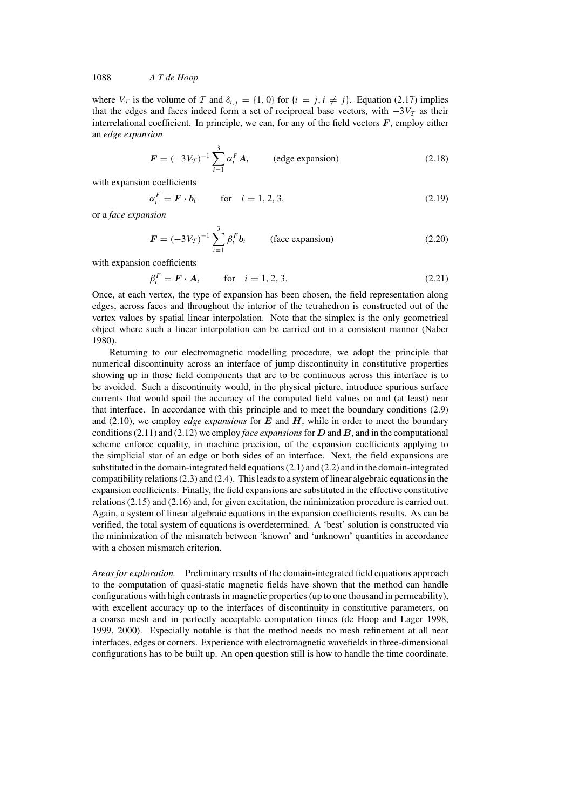where  $V_T$  is the volume of T and  $\delta_{i,j} = \{1, 0\}$  for  $\{i = j, i \neq j\}$ . Equation (2.17) implies that the edges and faces indeed form a set of reciprocal base vectors, with  $-3V_{\tau}$  as their interrelational coefficient. In principle, we can, for any of the field vectors  $\vec{F}$ , employ either an *edge expansion*

$$
F = (-3V_T)^{-1} \sum_{i=1}^{3} \alpha_i^F A_i
$$
 (edge expansion) (2.18)

with expansion coefficients

$$
\alpha_i^F = \mathbf{F} \cdot \mathbf{b}_i \qquad \text{for} \quad i = 1, 2, 3,
$$
 (2.19)

or a *face expansion*

$$
\boldsymbol{F} = (-3V_T)^{-1} \sum_{i=1}^{3} \beta_i^F \boldsymbol{b}_i \qquad \text{(face expansion)} \tag{2.20}
$$

with expansion coefficients

 $\beta_i^F = \mathbf{F} \cdot \mathbf{A}_i$ for  $i = 1, 2, 3.$  (2.21)

Once, at each vertex, the type of expansion has been chosen, the field representation along edges, across faces and throughout the interior of the tetrahedron is constructed out of the vertex values by spatial linear interpolation. Note that the simplex is the only geometrical object where such a linear interpolation can be carried out in a consistent manner (Naber 1980).

Returning to our electromagnetic modelling procedure, we adopt the principle that numerical discontinuity across an interface of jump discontinuity in constitutive properties showing up in those field components that are to be continuous across this interface is to be avoided. Such a discontinuity would, in the physical picture, introduce spurious surface currents that would spoil the accuracy of the computed field values on and (at least) near that interface. In accordance with this principle and to meet the boundary conditions (2.9) and (2.10), we employ *edge expansions* for *E* and *H*, while in order to meet the boundary conditions (2.11) and (2.12) we employ *face expansions*for *D* and *B*, and in the computational scheme enforce equality, in machine precision, of the expansion coefficients applying to the simplicial star of an edge or both sides of an interface. Next, the field expansions are substituted in the domain-integrated field equations (2.1) and (2.2) and in the domain-integrated compatibility relations (2.3) and (2.4). This leads to a system of linear algebraic equations in the expansion coefficients. Finally, the field expansions are substituted in the effective constitutive relations (2.15) and (2.16) and, for given excitation, the minimization procedure is carried out. Again, a system of linear algebraic equations in the expansion coefficients results. As can be verified, the total system of equations is overdetermined. A 'best' solution is constructed via the minimization of the mismatch between 'known' and 'unknown' quantities in accordance with a chosen mismatch criterion.

*Areas for exploration.* Preliminary results of the domain-integrated field equations approach to the computation of quasi-static magnetic fields have shown that the method can handle configurations with high contrasts in magnetic properties (up to one thousand in permeability), with excellent accuracy up to the interfaces of discontinuity in constitutive parameters, on a coarse mesh and in perfectly acceptable computation times (de Hoop and Lager 1998, 1999, 2000). Especially notable is that the method needs no mesh refinement at all near interfaces, edges or corners. Experience with electromagnetic wavefields in three-dimensional configurations has to be built up. An open question still is how to handle the time coordinate.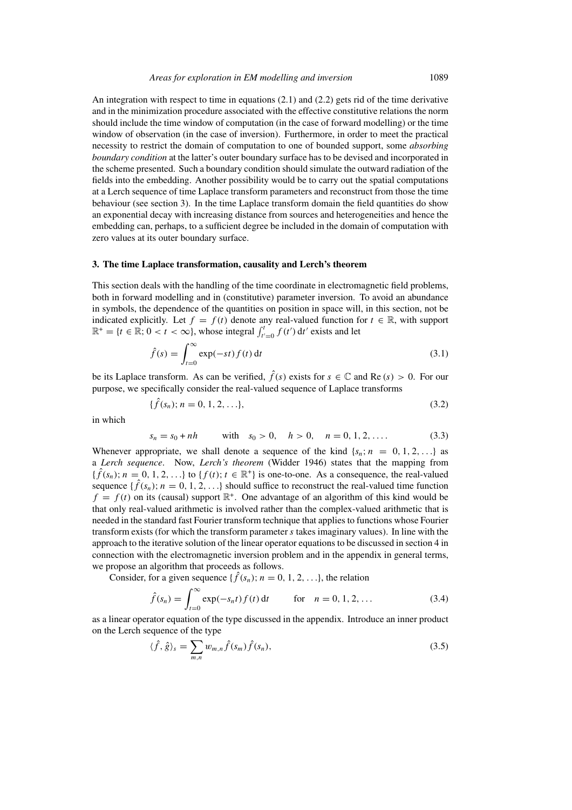An integration with respect to time in equations  $(2.1)$  and  $(2.2)$  gets rid of the time derivative and in the minimization procedure associated with the effective constitutive relations the norm should include the time window of computation (in the case of forward modelling) or the time window of observation (in the case of inversion). Furthermore, in order to meet the practical necessity to restrict the domain of computation to one of bounded support, some *absorbing boundary condition* at the latter's outer boundary surface has to be devised and incorporated in the scheme presented. Such a boundary condition should simulate the outward radiation of the fields into the embedding. Another possibility would be to carry out the spatial computations at a Lerch sequence of time Laplace transform parameters and reconstruct from those the time behaviour (see section 3). In the time Laplace transform domain the field quantities do show an exponential decay with increasing distance from sources and heterogeneities and hence the embedding can, perhaps, to a sufficient degree be included in the domain of computation with zero values at its outer boundary surface.

#### **3. The time Laplace transformation, causality and Lerch's theorem**

This section deals with the handling of the time coordinate in electromagnetic field problems, both in forward modelling and in (constitutive) parameter inversion. To avoid an abundance in symbols, the dependence of the quantities on position in space will, in this section, not be indicated explicitly. Let  $f = f(t)$  denote any real-valued function for  $t \in \mathbb{R}$ , with support  $\mathbb{R}^+ = \{t \in \mathbb{R}; 0 < t < \infty\}$ , whose integral  $\int_{t'=0}^{t'} f(t') dt'$  exists and let

$$
\hat{f}(s) = \int_{t=0}^{\infty} \exp(-st) f(t) dt
$$
\n(3.1)

be its Laplace transform. As can be verified,  $\hat{f}(s)$  exists for  $s \in \mathbb{C}$  and Re  $(s) > 0$ . For our purpose, we specifically consider the real-valued sequence of Laplace transforms

$$
\{\hat{f}(s_n); n = 0, 1, 2, \ldots\},\tag{3.2}
$$

in which

$$
s_n = s_0 + nh \qquad \text{with} \quad s_0 > 0, \quad h > 0, \quad n = 0, 1, 2, \dots \tag{3.3}
$$

Whenever appropriate, we shall denote a sequence of the kind  $\{s_n; n = 0, 1, 2, ...\}$  as a *Lerch sequence*. Now, *Lerch's theorem* (Widder 1946) states that the mapping from  ${\{\hat{f}(s_n); n = 0, 1, 2, \ldots\}}$  to  ${\{f(t); t \in \mathbb{R}^+\}}$  is one-to-one. As a consequence, the real-valued sequence  $\{\hat{f}(s_n); n = 0, 1, 2, \ldots\}$  should suffice to reconstruct the real-valued time function  $f = f(t)$  on its (causal) support  $\mathbb{R}^+$ . One advantage of an algorithm of this kind would be that only real-valued arithmetic is involved rather than the complex-valued arithmetic that is needed in the standard fast Fourier transform technique that applies to functions whose Fourier transform exists (for which the transform parameter s takes imaginary values). In line with the approach to the iterative solution of the linear operator equations to be discussed in section 4 in connection with the electromagnetic inversion problem and in the appendix in general terms, we propose an algorithm that proceeds as follows.

Consider, for a given sequence  $\{\hat{f}(s_n); n = 0, 1, 2, ...\}$ , the relation

$$
\hat{f}(s_n) = \int_{t=0}^{\infty} \exp(-s_n t) f(t) dt \quad \text{for} \quad n = 0, 1, 2, ... \tag{3.4}
$$

as a linear operator equation of the type discussed in the appendix. Introduce an inner product on the Lerch sequence of the type

$$
\langle \hat{f}, \hat{g} \rangle_s = \sum_{m,n} w_{m,n} \hat{f}(s_m) \hat{f}(s_n), \tag{3.5}
$$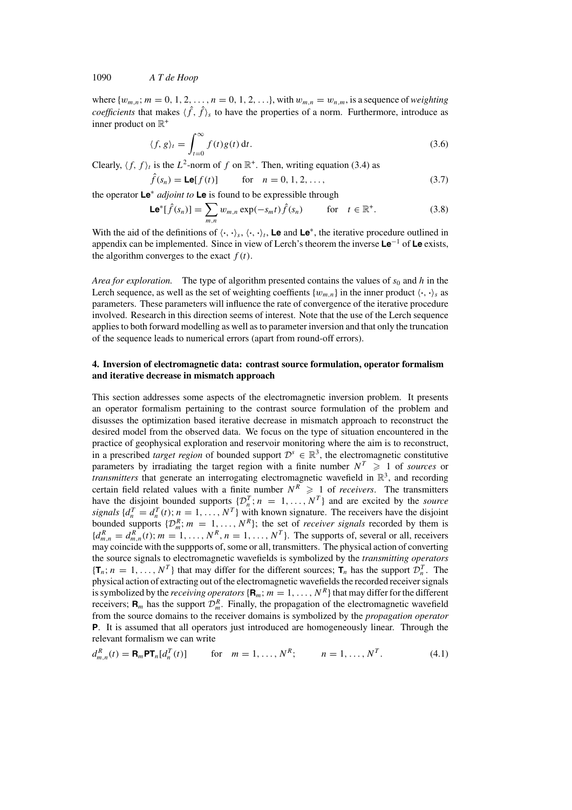where  $\{w_{m,n}; m = 0, 1, 2, ..., n = 0, 1, 2, ...\}$ , with  $w_{m,n} = w_{n,m}$ , is a sequence of *weighting coefficients* that makes  $\langle \hat{f}, \hat{f} \rangle_s$  to have the properties of a norm. Furthermore, introduce as inner product on R<sup>+</sup>

$$
\langle f, g \rangle_t = \int_{t=0}^{\infty} f(t)g(t) \, \mathrm{d}t. \tag{3.6}
$$

Clearly,  $\langle f, f \rangle_t$  is the  $L^2$ -norm of f on  $\mathbb{R}^+$ . Then, writing equation (3.4) as

$$
\hat{f}(s_n) = \text{Le}[f(t)]
$$
 for  $n = 0, 1, 2, ...,$  (3.7)

the operator **Le**<sup>∗</sup> *adjoint to* **Le** is found to be expressible through

$$
\mathsf{Le}^*[\hat{f}(s_n)] = \sum_{m,n} w_{m,n} \exp(-s_m t) \hat{f}(s_n) \qquad \text{for} \quad t \in \mathbb{R}^+.
$$
 (3.8)

With the aid of the definitions of  $\langle \cdot, \cdot \rangle_s$ ,  $\langle \cdot, \cdot \rangle_t$ , **Le** and **Le**<sup>\*</sup>, the iterative procedure outlined in appendix can be implemented. Since in view of Lerch's theorem the inverse **Le**−<sup>1</sup> of **Le** exists, the algorithm converges to the exact  $f(t)$ .

*Area for exploration.* The type of algorithm presented contains the values of  $s_0$  and h in the Lerch sequence, as well as the set of weighting coeffients  $\{w_{m,n}\}$  in the inner product  $\langle \cdot, \cdot \rangle_s$  as parameters. These parameters will influence the rate of convergence of the iterative procedure involved. Research in this direction seems of interest. Note that the use of the Lerch sequence applies to both forward modelling as well as to parameter inversion and that only the truncation of the sequence leads to numerical errors (apart from round-off errors).

## **4. Inversion of electromagnetic data: contrast source formulation, operator formalism and iterative decrease in mismatch approach**

This section addresses some aspects of the electromagnetic inversion problem. It presents an operator formalism pertaining to the contrast source formulation of the problem and disusses the optimization based iterative decrease in mismatch approach to reconstruct the desired model from the observed data. We focus on the type of situation encountered in the practice of geophysical exploration and reservoir monitoring where the aim is to reconstruct, in a prescribed *target region* of bounded support  $\mathcal{D}^s \in \mathbb{R}^3$ , the electromagnetic constitutive parameters by irradiating the target region with a finite number  $N^T \geq 1$  of *sources* or *transmitters* that generate an interrogating electromagnetic wavefield in  $\mathbb{R}^3$ , and recording certain field related values with a finite number  $N^R \geq 1$  of *receivers*. The transmitters have the disjoint bounded supports  $\{\mathcal{D}_n^T; n = 1, ..., N^T\}$  and are excited by the *source signals*  $\{d_n^T = d_n^T(t); n = 1, ..., N^T\}$  with known signature. The receivers have the disjoint bounded supports  $\{D_m^R; m = 1, \ldots, N^R\}$ ; the set of *receiver signals* recorded by them is  ${d_{m,n}^R = d_{m,n}^R(t)}$ ;  $m = 1, \ldots, N^R, n = 1, \ldots, N^T$ . The supports of, several or all, receivers may coincide with the suppports of, some or all, transmitters. The physical action of converting the source signals to electromagnetic wavefields is symbolized by the *transmitting operators*  ${\bf T}_n$ ;  $n = 1, \ldots, N^T$  that may differ for the different sources;  ${\bf T}_n$  has the support  $\mathcal{D}_n^T$ . The physical action of extracting out of the electromagnetic wavefields the recorded receiver signals is symbolized by the *receiving operators*  $\{R_m; m = 1, ..., N^R\}$  that may differ for the different receivers;  $\mathbf{R}_m$  has the support  $\mathcal{D}_m^R$ . Finally, the propagation of the electromagnetic wavefield from the source domains to the receiver domains is symbolized by the *propagation operator* **P**. It is assumed that all operators just introduced are homogeneously linear. Through the relevant formalism we can write

$$
d_{m,n}^{R}(t) = \mathbf{R}_m \mathbf{P} \mathbf{T}_n[d_n^{T}(t)] \quad \text{for} \quad m = 1, ..., N^{R}; \quad n = 1, ..., N^{T}.
$$
 (4.1)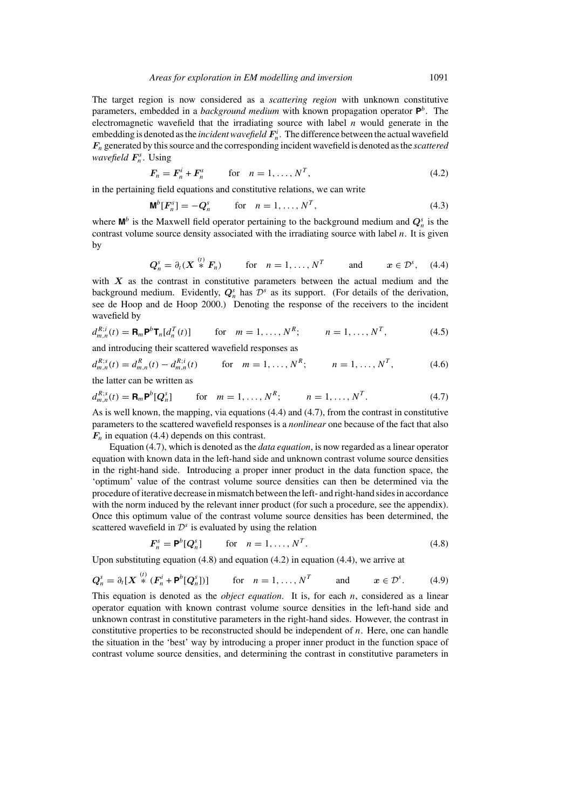The target region is now considered as a *scattering region* with unknown constitutive parameters, embedded in a *background medium* with known propagation operator  $P^b$ . The electromagnetic wavefield that the irradiating source with label  $n$  would generate in the embedding is denoted as the *incident wavefield*  $F_n^i$ . The difference between the actual wavefield *F*<sup>n</sup> generated by this source and the corresponding incident wavefield is denoted as the *scattered wavefield*  $\mathbf{F}_n^s$ . Using

$$
\mathbf{F}_n = \mathbf{F}_n^i + \mathbf{F}_n^s \qquad \text{for} \quad n = 1, \dots, N^T,
$$
\n
$$
(4.2)
$$

in the pertaining field equations and constitutive relations, we can write

$$
\mathbf{M}^b[\mathbf{F}_n^s] = -\mathbf{Q}_n^s \quad \text{for} \quad n = 1, \dots, N^T,
$$
 (4.3)

where  $\mathbf{M}^b$  is the Maxwell field operator pertaining to the background medium and  $Q_n^s$  is the contrast volume source density associated with the irradiating source with label  $n$ . It is given by

$$
Q_n^s = \partial_t (X \stackrel{(t)}{*} F_n) \qquad \text{for} \quad n = 1, \dots, N^T \qquad \text{and} \qquad x \in \mathcal{D}^s, \quad (4.4)
$$

with *X* as the contrast in constitutive parameters between the actual medium and the background medium. Evidently,  $Q_n^s$  has  $\mathcal{D}^s$  as its support. (For details of the derivation, see de Hoop and de Hoop 2000.) Denoting the response of the receivers to the incident wavefield by

$$
d_{m,n}^{R;i}(t) = \mathbf{R}_m \mathbf{P}^b \mathbf{T}_n[d_n^T(t)] \quad \text{for} \quad m = 1, ..., N^R; \quad n = 1, ..., N^T,
$$
 (4.5)

and introducing their scattered wavefield responses as

$$
d_{m,n}^{R,s}(t) = d_{m,n}^{R}(t) - d_{m,n}^{R;i}(t) \qquad \text{for} \quad m = 1, \dots, N^R; \qquad n = 1, \dots, N^T,
$$
 (4.6)

the latter can be written as

$$
d_{m,n}^{R,s}(t) = \mathbf{R}_m \mathbf{P}^b [Q_n^s] \quad \text{for} \quad m = 1, ..., N^R; \quad n = 1, ..., N^T. \tag{4.7}
$$

As is well known, the mapping, via equations (4.4) and (4.7), from the contrast in constitutive parameters to the scattered wavefield responses is a *nonlinear* one because of the fact that also  $F_n$  in equation (4.4) depends on this contrast.

Equation (4.7), which is denoted as the *data equation*, is now regarded as a linear operator equation with known data in the left-hand side and unknown contrast volume source densities in the right-hand side. Introducing a proper inner product in the data function space, the 'optimum' value of the contrast volume source densities can then be determined via the procedure of iterative decrease in mismatch between the left- and right-hand sides in accordance with the norm induced by the relevant inner product (for such a procedure, see the appendix). Once this optimum value of the contrast volume source densities has been determined, the scattered wavefield in  $\mathcal{D}^s$  is evaluated by using the relation

$$
\boldsymbol{F}_n^s = \mathbf{P}^b[\boldsymbol{Q}_n^s] \qquad \text{for} \quad n = 1, \dots, N^T. \tag{4.8}
$$

Upon substituting equation (4.8) and equation (4.2) in equation (4.4), we arrive at

$$
Q_n^s = \partial_t [X \stackrel{(t)}{*}{} (F_n^i + \mathbf{P}^b [Q_n^s])]
$$
 for  $n = 1, ..., N^T$  and  $x \in \mathcal{D}^s$ . (4.9)

This equation is denoted as the *object equation*. It is, for each n, considered as a linear operator equation with known contrast volume source densities in the left-hand side and unknown contrast in constitutive parameters in the right-hand sides. However, the contrast in constitutive properties to be reconstructed should be independent of  $n$ . Here, one can handle the situation in the 'best' way by introducing a proper inner product in the function space of contrast volume source densities, and determining the contrast in constitutive parameters in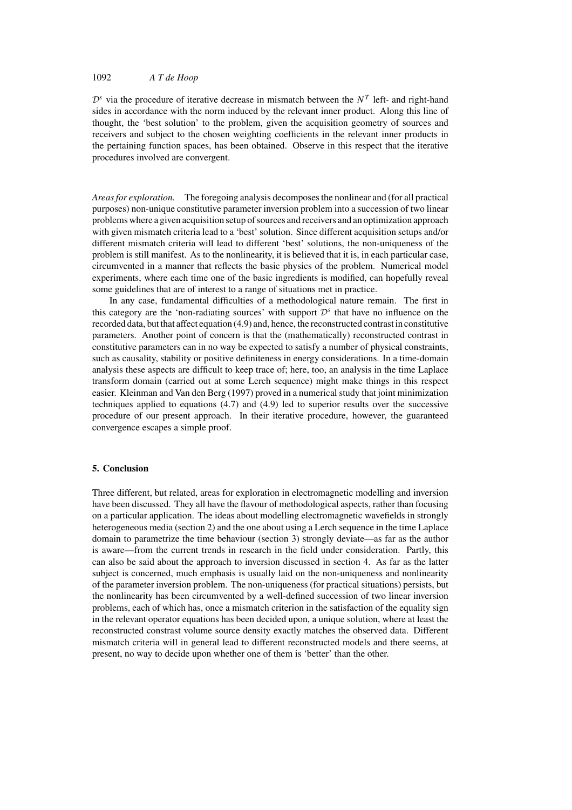$\mathcal{D}^s$  via the procedure of iterative decrease in mismatch between the  $N^T$  left- and right-hand sides in accordance with the norm induced by the relevant inner product. Along this line of thought, the 'best solution' to the problem, given the acquisition geometry of sources and receivers and subject to the chosen weighting coefficients in the relevant inner products in the pertaining function spaces, has been obtained. Observe in this respect that the iterative procedures involved are convergent.

*Areas for exploration.* The foregoing analysis decomposes the nonlinear and (for all practical purposes) non-unique constitutive parameter inversion problem into a succession of two linear problems where a given acquisition setup of sources and receivers and an optimization approach with given mismatch criteria lead to a 'best' solution. Since different acquisition setups and/or different mismatch criteria will lead to different 'best' solutions, the non-uniqueness of the problem is still manifest. As to the nonlinearity, it is believed that it is, in each particular case, circumvented in a manner that reflects the basic physics of the problem. Numerical model experiments, where each time one of the basic ingredients is modified, can hopefully reveal some guidelines that are of interest to a range of situations met in practice.

In any case, fundamental difficulties of a methodological nature remain. The first in this category are the 'non-radiating sources' with support  $\mathcal{D}^s$  that have no influence on the recorded data, but that affect equation (4.9) and, hence, the reconstructed contrast in constitutive parameters. Another point of concern is that the (mathematically) reconstructed contrast in constitutive parameters can in no way be expected to satisfy a number of physical constraints, such as causality, stability or positive definiteness in energy considerations. In a time-domain analysis these aspects are difficult to keep trace of; here, too, an analysis in the time Laplace transform domain (carried out at some Lerch sequence) might make things in this respect easier. Kleinman and Van den Berg (1997) proved in a numerical study that joint minimization techniques applied to equations (4.7) and (4.9) led to superior results over the successive procedure of our present approach. In their iterative procedure, however, the guaranteed convergence escapes a simple proof.

# **5. Conclusion**

Three different, but related, areas for exploration in electromagnetic modelling and inversion have been discussed. They all have the flavour of methodological aspects, rather than focusing on a particular application. The ideas about modelling electromagnetic wavefields in strongly heterogeneous media (section 2) and the one about using a Lerch sequence in the time Laplace domain to parametrize the time behaviour (section 3) strongly deviate—as far as the author is aware—from the current trends in research in the field under consideration. Partly, this can also be said about the approach to inversion discussed in section 4. As far as the latter subject is concerned, much emphasis is usually laid on the non-uniqueness and nonlinearity of the parameter inversion problem. The non-uniqueness (for practical situations) persists, but the nonlinearity has been circumvented by a well-defined succession of two linear inversion problems, each of which has, once a mismatch criterion in the satisfaction of the equality sign in the relevant operator equations has been decided upon, a unique solution, where at least the reconstructed constrast volume source density exactly matches the observed data. Different mismatch criteria will in general lead to different reconstructed models and there seems, at present, no way to decide upon whether one of them is 'better' than the other.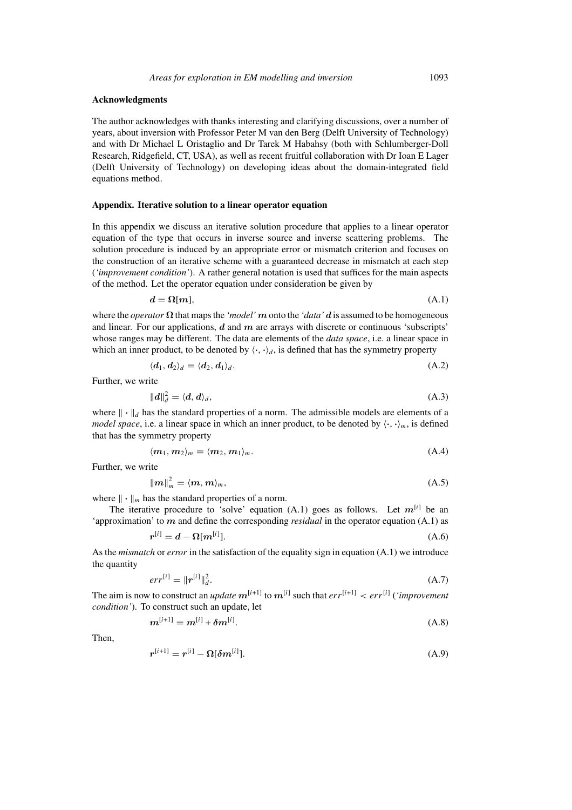#### **Acknowledgments**

The author acknowledges with thanks interesting and clarifying discussions, over a number of years, about inversion with Professor Peter M van den Berg (Delft University of Technology) and with Dr Michael L Oristaglio and Dr Tarek M Habahsy (both with Schlumberger-Doll Research, Ridgefield, CT, USA), as well as recent fruitful collaboration with Dr Ioan E Lager (Delft University of Technology) on developing ideas about the domain-integrated field equations method.

#### **Appendix. Iterative solution to a linear operator equation**

In this appendix we discuss an iterative solution procedure that applies to a linear operator equation of the type that occurs in inverse source and inverse scattering problems. The solution procedure is induced by an appropriate error or mismatch criterion and focuses on the construction of an iterative scheme with a guaranteed decrease in mismatch at each step (*'improvement condition'*). A rather general notation is used that suffices for the main aspects of the method. Let the operator equation under consideration be given by

$$
d = \Omega[m],\tag{A.1}
$$

where the *operator*  $\Omega$  that maps the *'model'*  $m$  onto the *'data'*  $d$  is assumed to be homogeneous and linear. For our applications, *d* and *m* are arrays with discrete or continuous 'subscripts' whose ranges may be different. The data are elements of the *data space*, i.e. a linear space in which an inner product, to be denoted by  $\langle \cdot, \cdot \rangle_d$ , is defined that has the symmetry property

$$
\langle d_1, d_2 \rangle_d = \langle d_2, d_1 \rangle_d. \tag{A.2}
$$

Further, we write

$$
||d||_d^2 = \langle d, d \rangle_d, \tag{A.3}
$$

where  $\|\cdot\|_d$  has the standard properties of a norm. The admissible models are elements of a *model space*, i.e. a linear space in which an inner product, to be denoted by  $\langle \cdot, \cdot \rangle_m$ , is defined that has the symmetry property

$$
\langle m_1, m_2 \rangle_m = \langle m_2, m_1 \rangle_m. \tag{A.4}
$$

Further, we write

$$
||m||_m^2 = \langle m, m \rangle_m, \tag{A.5}
$$

where  $\|\cdot\|_m$  has the standard properties of a norm.

The iterative procedure to 'solve' equation  $(A.1)$  goes as follows. Let  $m^{[i]}$  be an 'approximation' to *m* and define the corresponding *residual* in the operator equation (A.1) as

$$
r^{[i]} = d - \Omega[m^{[i]}].\tag{A.6}
$$

As the *mismatch* or *error* in the satisfaction of the equality sign in equation (A.1) we introduce the quantity

$$
err^{[i]} = ||r^{[i]}||_d^2.
$$
\n(A.7)

The aim is now to construct an *update*  $m^{[i+1]}$  to  $m^{[i]}$  such that  $err^{[i+1]} < err^{[i]}$  (*'improvement condition'*). To construct such an update, let

$$
m^{[i+1]} = m^{[i]} + \delta m^{[i]}.
$$
 (A.8)

Then,

$$
r^{[i+1]} = r^{[i]} - \Omega[\delta m^{[i]}]. \tag{A.9}
$$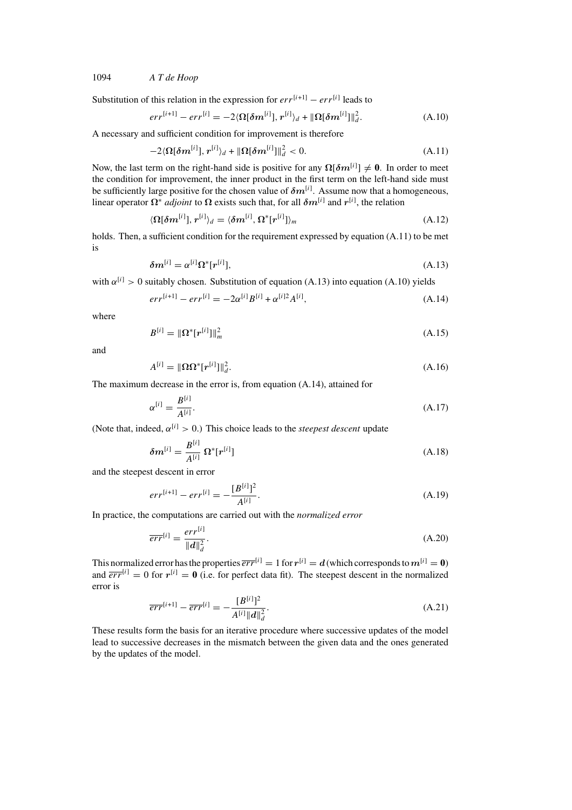Substitution of this relation in the expression for  $err^{[i+1]} - err^{[i]}$  leads to

$$
err^{[i+1]} - err^{[i]} = -2\langle \Omega[\delta m^{[i]}], r^{[i]}\rangle_d + \|\Omega[\delta m^{[i]}]\|_d^2.
$$
 (A.10)

A necessary and sufficient condition for improvement is therefore

$$
-2\langle \Omega[\delta m^{[i]}], r^{[i]}\rangle_d + \|\Omega[\delta m^{[i]}]\|_d^2 < 0.
$$
 (A.11)

Now, the last term on the right-hand side is positive for any  $\Omega[\delta m^{[i]}] \neq 0$ . In order to meet the condition for improvement, the inner product in the first term on the left-hand side must be sufficiently large positive for the chosen value of  $\delta m^{[i]}$ . Assume now that a homogeneous, linear operator  $\Omega^*$  *adjoint* to  $\Omega$  exists such that, for all  $\delta m^{[i]}$  and  $r^{[i]}$ , the relation

$$
\langle \Omega[\delta m^{[i]}], r^{[i]} \rangle_d = \langle \delta m^{[i]}, \Omega^*[r^{[i]}] \rangle_m \tag{A.12}
$$

holds. Then, a sufficient condition for the requirement expressed by equation (A.11) to be met is

$$
\delta m^{[i]} = \alpha^{[i]} \Omega^* [r^{[i]}],\tag{A.13}
$$

with  $\alpha^{[i]} > 0$  suitably chosen. Substitution of equation (A.13) into equation (A.10) yields

$$
err^{[i+1]} - err^{[i]} = -2\alpha^{[i]}B^{[i]} + \alpha^{[i]2}A^{[i]},
$$
\n(A.14)

where

$$
B^{[i]} = \|\Omega^* [r^{[i]}] \|_m^2 \tag{A.15}
$$

and

$$
A^{[i]} = \|\Omega \Omega^* [r^{[i]}\] \|_{d}^2. \tag{A.16}
$$

The maximum decrease in the error is, from equation (A.14), attained for

$$
\alpha^{[i]} = \frac{B^{[i]}}{A^{[i]}}.\tag{A.17}
$$

(Note that, indeed,  $\alpha^{[i]} > 0$ .) This choice leads to the *steepest descent* update

$$
\delta m^{[i]} = \frac{B^{[i]}}{A^{[i]}} \, \Omega^* [r^{[i]}]
$$
\n(A.18)

and the steepest descent in error

$$
err^{[i+1]} - err^{[i]} = -\frac{[B^{[i]}]^2}{A^{[i]}}.
$$
\n(A.19)

In practice, the computations are carried out with the *normalized error*

$$
\overline{err}^{[i]} = \frac{err^{[i]}}{\|d\|_d^2}.\tag{A.20}
$$

This normalized error has the properties  $\overline{err}^{[i]} = 1$  for  $r^{[i]} = d$  (which corresponds to  $m^{[i]} = 0$ ) and  $\overline{err}^{[i]} = 0$  for  $r^{[i]} = 0$  (i.e. for perfect data fit). The steepest descent in the normalized error is

$$
\overline{err}^{[i+1]} - \overline{err}^{[i]} = -\frac{[B^{[i]}]^2}{A^{[i]} \|d\|^2_d}.
$$
\n(A.21)

These results form the basis for an iterative procedure where successive updates of the model lead to successive decreases in the mismatch between the given data and the ones generated by the updates of the model.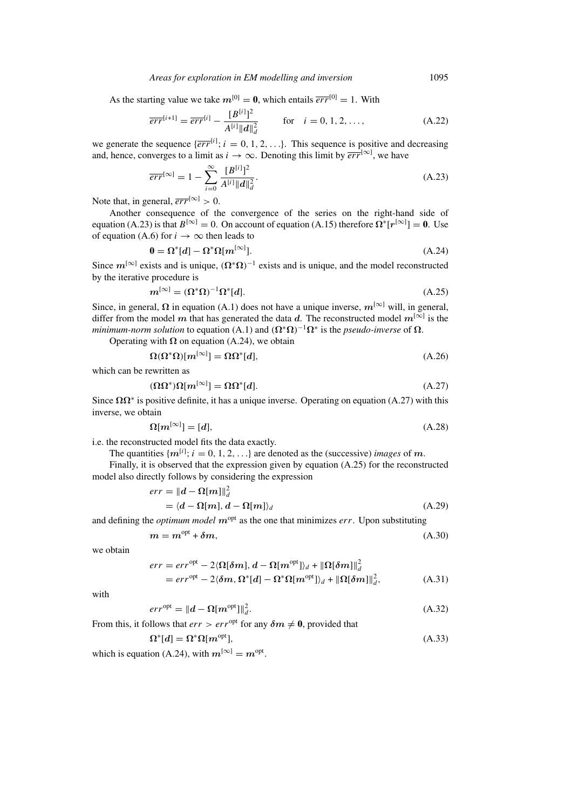As the starting value we take  $m^{[0]} = 0$ , which entails  $\overline{err}^{[0]} = 1$ . With

$$
\overline{err}^{[i+1]} = \overline{err}^{[i]} - \frac{[B^{[i]}]^2}{A^{[i]} \|d\|_d^2} \qquad \text{for} \quad i = 0, 1, 2, \dots,
$$
 (A.22)

we generate the sequence  $\{ \overline{err}^{[i]}; i = 0, 1, 2, \ldots \}$ . This sequence is positive and decreasing and, hence, converges to a limit as  $i \to \infty$ . Denoting this limit by  $\overline{err}^{[\infty]}$ , we have

$$
\overline{err}^{[\infty]} = 1 - \sum_{i=0}^{\infty} \frac{[B^{[i]}]^2}{A^{[i]} \|d\|^2_d}.
$$
 (A.23)

Note that, in general,  $\overline{err}^{[\infty]} > 0$ .

Another consequence of the convergence of the series on the right-hand side of equation (A.23) is that  $B^{[\infty]} = 0$ . On account of equation (A.15) therefore  $\Omega^* [r^{[\infty]}] = 0$ . Use of equation (A.6) for  $i \to \infty$  then leads to

$$
\mathbf{0} = \Omega^*[d] - \Omega^*\Omega[m^{[\infty]}].
$$
\n(A.24)

Since  $m^{\infty}$  exists and is unique,  $(\Omega^*\Omega)^{-1}$  exists and is unique, and the model reconstructed by the iterative procedure is

$$
m^{[\infty]} = (\Omega^*\Omega)^{-1}\Omega^*[d].\tag{A.25}
$$

Since, in general,  $\Omega$  in equation (A.1) does not have a unique inverse,  $m^{\lfloor \infty \rfloor}$  will, in general, differ from the model *m* that has generated the data *d*. The reconstructed model  $m^{[\infty]}$  is the *minimum-norm solution* to equation (A.1) and  $(\mathbf{\Omega}^*\mathbf{\Omega})^{-1}\mathbf{\Omega}^*$  is the *pseudo-inverse* of  $\mathbf{\Omega}$ .

Operating with  $\Omega$  on equation (A.24), we obtain

$$
\Omega(\Omega^*\Omega)[m^{[\infty]}] = \Omega\Omega^*[d],\tag{A.26}
$$

which can be rewritten as

$$
(\Omega \Omega^*)\Omega[m^{[\infty]}] = \Omega \Omega^*[d].\tag{A.27}
$$

Since  $\Omega \Omega^*$  is positive definite, it has a unique inverse. Operating on equation (A.27) with this inverse, we obtain

$$
\Omega[m^{[\infty]}] = [d],\tag{A.28}
$$

i.e. the reconstructed model fits the data exactly.

The quantities  $\{m^{[i]}\;;\;i = 0, 1, 2, \ldots\}$  are denoted as the (successive) *images* of m. Finally, it is observed that the expression given by equation (A.25) for the reconstructed model also directly follows by considering the expression

$$
err = ||d - \Omega[m]||_d^2
$$
  
=  $\langle d - \Omega[m], d - \Omega[m] \rangle_d$  (A.29)

and defining the *optimum model*  $m^{\text{opt}}$  as the one that minimizes err. Upon substituting

$$
m = m^{\text{opt}} + \delta m,\tag{A.30}
$$

we obtain

$$
err = err^{\text{opt}} - 2\langle \Omega[\delta m], d - \Omega[m^{\text{opt}}]\rangle_d + \|\Omega[\delta m]\|_d^2
$$
  
=  $err^{\text{opt}} - 2\langle \delta m, \Omega^*[d] - \Omega^* \Omega[m^{\text{opt}}]\rangle_d + \|\Omega[\delta m]\|_d^2,$  (A.31)

with

$$
err^{\text{opt}} = ||d - \Omega[m^{\text{opt}}]||_d^2. \tag{A.32}
$$

From this, it follows that  $err > err^{opt}$  for any  $\delta m \neq 0$ , provided that

$$
\Omega^*[d] = \Omega^* \Omega[m^{\text{opt}}],\tag{A.33}
$$

which is equation (A.24), with  $m^{[\infty]} = m^{\text{opt}}$ .